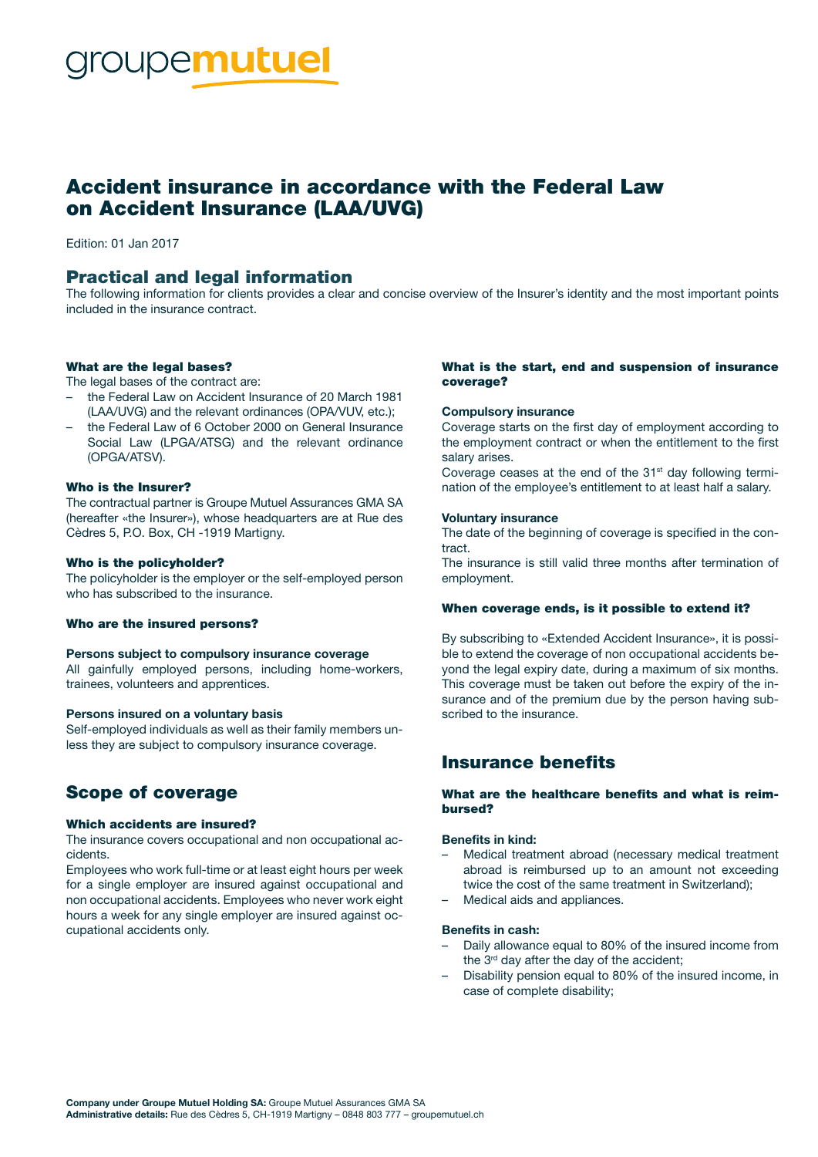# roupe**mutuel**

# Accident insurance in accordance with the Federal Law on Accident Insurance (LAA/UVG)

Edition: 01 Jan 2017

## Practical and legal information

The following information for clients provides a clear and concise overview of the Insurer's identity and the most important points included in the insurance contract.

#### What are the legal bases?

The legal bases of the contract are:

- the Federal Law on Accident Insurance of 20 March 1981 (LAA/UVG) and the relevant ordinances (OPA/VUV, etc.);
- the Federal Law of 6 October 2000 on General Insurance Social Law (LPGA/ATSG) and the relevant ordinance (OPGA/ATSV).

#### Who is the Insurer?

The contractual partner is Groupe Mutuel Assurances GMA SA (hereafter «the Insurer»), whose headquarters are at Rue des Cèdres 5, P.O. Box, CH -1919 Martigny.

#### Who is the policyholder?

The policyholder is the employer or the self-employed person who has subscribed to the insurance.

#### Who are the insured persons?

#### Persons subject to compulsory insurance coverage

All gainfully employed persons, including home-workers, trainees, volunteers and apprentices.

#### Persons insured on a voluntary basis

Self-employed individuals as well as their family members unless they are subject to compulsory insurance coverage.

## Scope of coverage

#### Which accidents are insured?

The insurance covers occupational and non occupational accidents.

Employees who work full-time or at least eight hours per week for a single employer are insured against occupational and non occupational accidents. Employees who never work eight hours a week for any single employer are insured against occupational accidents only.

#### What is the start, end and suspension of insurance coverage?

#### Compulsory insurance

Coverage starts on the first day of employment according to the employment contract or when the entitlement to the first salary arises.

Coverage ceases at the end of the 31<sup>st</sup> day following termination of the employee's entitlement to at least half a salary.

#### Voluntary insurance

The date of the beginning of coverage is specified in the contract.

The insurance is still valid three months after termination of employment.

#### When coverage ends, is it possible to extend it?

By subscribing to «Extended Accident Insurance», it is possible to extend the coverage of non occupational accidents beyond the legal expiry date, during a maximum of six months. This coverage must be taken out before the expiry of the insurance and of the premium due by the person having subscribed to the insurance.

## Insurance benefits

#### What are the healthcare benefits and what is reimbursed?

#### Benefits in kind:

- Medical treatment abroad (necessary medical treatment abroad is reimbursed up to an amount not exceeding twice the cost of the same treatment in Switzerland);
- Medical aids and appliances.

#### Benefits in cash:

- Daily allowance equal to 80% of the insured income from the 3<sup>rd</sup> day after the day of the accident:
- Disability pension equal to 80% of the insured income, in case of complete disability;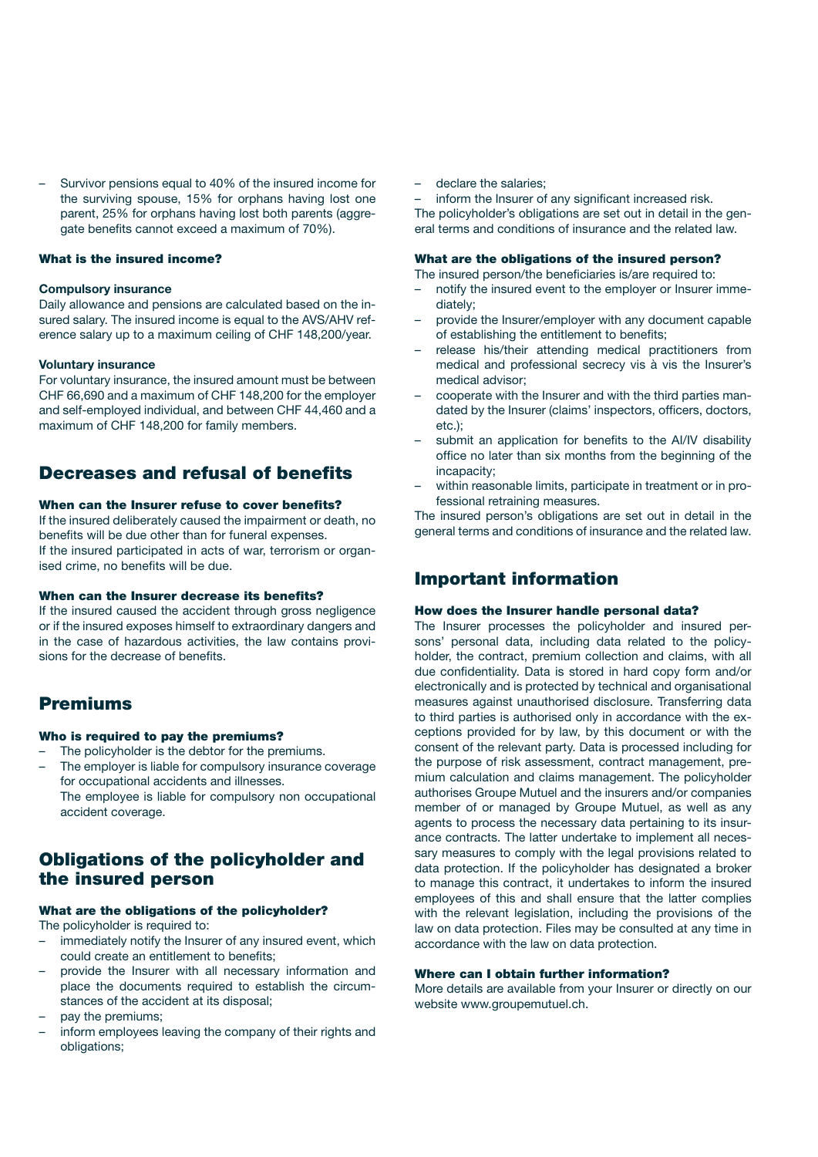– Survivor pensions equal to 40% of the insured income for the surviving spouse, 15% for orphans having lost one parent, 25% for orphans having lost both parents (aggregate benefits cannot exceed a maximum of 70%).

#### What is the insured income?

#### Compulsory insurance

Daily allowance and pensions are calculated based on the insured salary. The insured income is equal to the AVS/AHV reference salary up to a maximum ceiling of CHF 148,200/year.

#### Voluntary insurance

For voluntary insurance, the insured amount must be between CHF 66,690 and a maximum of CHF 148,200 for the employer and self-employed individual, and between CHF 44,460 and a maximum of CHF 148,200 for family members.

## Decreases and refusal of benefits

#### When can the Insurer refuse to cover benefits?

If the insured deliberately caused the impairment or death, no benefits will be due other than for funeral expenses. If the insured participated in acts of war, terrorism or organised crime, no benefits will be due.

#### When can the Insurer decrease its benefits?

If the insured caused the accident through gross negligence or if the insured exposes himself to extraordinary dangers and in the case of hazardous activities, the law contains provisions for the decrease of benefits.

## Premiums

#### Who is required to pay the premiums?

- The policyholder is the debtor for the premiums.
- The employer is liable for compulsory insurance coverage for occupational accidents and illnesses. The employee is liable for compulsory non occupational accident coverage.

## Obligations of the policyholder and the insured person

#### What are the obligations of the policyholder?

The policyholder is required to:

- immediately notify the Insurer of any insured event, which could create an entitlement to benefits;
- provide the Insurer with all necessary information and place the documents required to establish the circumstances of the accident at its disposal;
- pay the premiums;
- inform employees leaving the company of their rights and obligations;

#### declare the salaries;

inform the Insurer of any significant increased risk. The policyholder's obligations are set out in detail in the general terms and conditions of insurance and the related law.

#### What are the obligations of the insured person?

The insured person/the beneficiaries is/are required to:

- notify the insured event to the employer or Insurer immediately;
- provide the Insurer/employer with any document capable of establishing the entitlement to benefits;
- release his/their attending medical practitioners from medical and professional secrecy vis à vis the Insurer's medical advisor;
- cooperate with the Insurer and with the third parties mandated by the Insurer (claims' inspectors, officers, doctors, etc.);
- submit an application for benefits to the AI/IV disability office no later than six months from the beginning of the incapacity;
- within reasonable limits, participate in treatment or in professional retraining measures.

The insured person's obligations are set out in detail in the general terms and conditions of insurance and the related law.

## Important information

#### How does the Insurer handle personal data?

The Insurer processes the policyholder and insured persons' personal data, including data related to the policyholder, the contract, premium collection and claims, with all due confidentiality. Data is stored in hard copy form and/or electronically and is protected by technical and organisational measures against unauthorised disclosure. Transferring data to third parties is authorised only in accordance with the exceptions provided for by law, by this document or with the consent of the relevant party. Data is processed including for the purpose of risk assessment, contract management, premium calculation and claims management. The policyholder authorises Groupe Mutuel and the insurers and/or companies member of or managed by Groupe Mutuel, as well as any agents to process the necessary data pertaining to its insurance contracts. The latter undertake to implement all necessary measures to comply with the legal provisions related to data protection. If the policyholder has designated a broker to manage this contract, it undertakes to inform the insured employees of this and shall ensure that the latter complies with the relevant legislation, including the provisions of the law on data protection. Files may be consulted at any time in accordance with the law on data protection.

#### Where can I obtain further information?

More details are available from your Insurer or directly on our website www.groupemutuel.ch.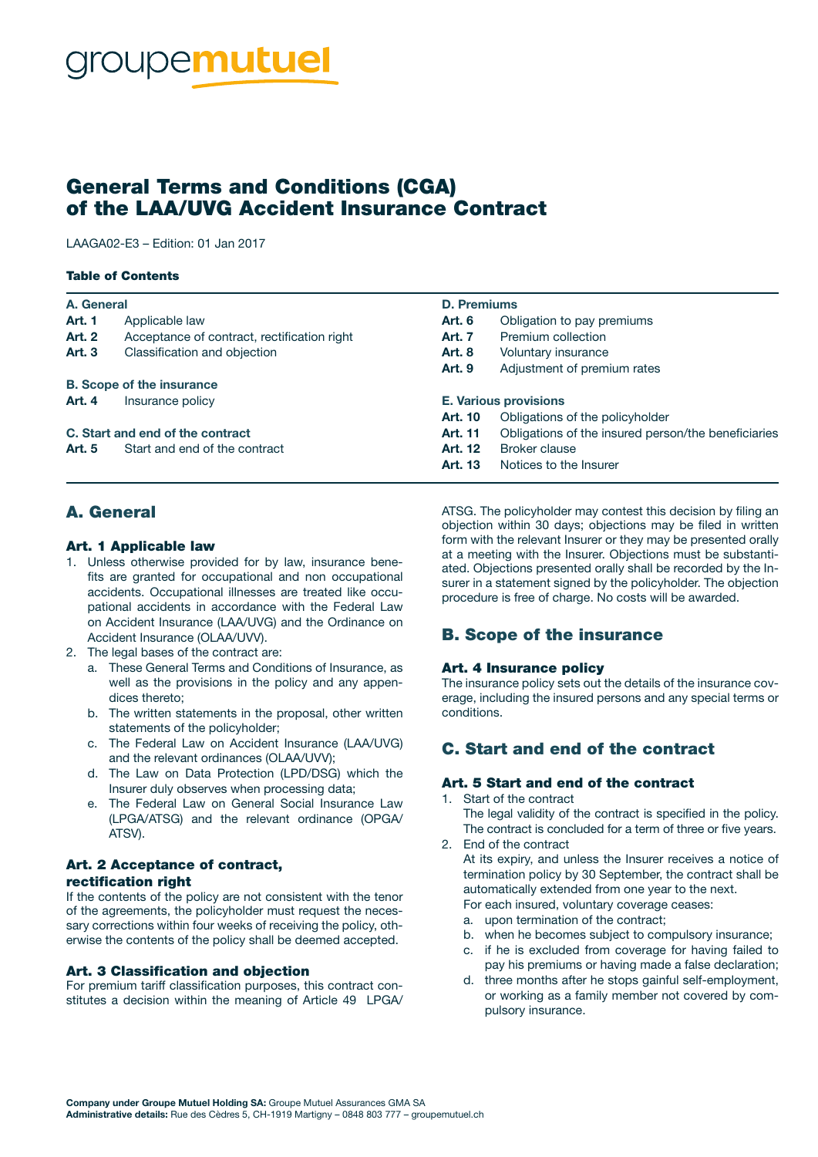# roupe**mutuel**

# General Terms and Conditions (CGA) of the LAA/UVG Accident Insurance Contract

LAAGA02-E3 – Edition: 01 Jan 2017

#### Table of Contents

| A. General                       |                                             | <b>D. Premiums</b>           |                                                     |
|----------------------------------|---------------------------------------------|------------------------------|-----------------------------------------------------|
| <b>Art. 1</b>                    | Applicable law                              | <b>Art. 6</b>                | Obligation to pay premiums                          |
| <b>Art. 2</b>                    | Acceptance of contract, rectification right | <b>Art. 7</b>                | Premium collection                                  |
| <b>Art. 3</b>                    | Classification and objection                | <b>Art. 8</b>                | Voluntary insurance                                 |
|                                  |                                             | <b>Art. 9</b>                | Adjustment of premium rates                         |
|                                  | <b>B. Scope of the insurance</b>            |                              |                                                     |
| <b>Art. 4</b>                    | Insurance policy                            | <b>E. Various provisions</b> |                                                     |
|                                  |                                             | <b>Art. 10</b>               | Obligations of the policyholder                     |
| C. Start and end of the contract |                                             | Art. 11                      | Obligations of the insured person/the beneficiaries |
| <b>Art. 5</b>                    | Start and end of the contract               | Art. 12                      | Broker clause                                       |
|                                  |                                             | Art. 13                      | Notices to the Insurer                              |

## A. General

#### Art. 1 Applicable law

- 1. Unless otherwise provided for by law, insurance benefits are granted for occupational and non occupational accidents. Occupational illnesses are treated like occupational accidents in accordance with the Federal Law on Accident Insurance (LAA/UVG) and the Ordinance on Accident Insurance (OLAA/UVV).
- 2. The legal bases of the contract are:
	- a. These General Terms and Conditions of Insurance, as well as the provisions in the policy and any appendices thereto;
	- b. The written statements in the proposal, other written statements of the policyholder;
	- c. The Federal Law on Accident Insurance (LAA/UVG) and the relevant ordinances (OLAA/UVV);
	- d. The Law on Data Protection (LPD/DSG) which the Insurer duly observes when processing data;
	- e. The Federal Law on General Social Insurance Law (LPGA/ATSG) and the relevant ordinance (OPGA/ ATSV).

#### Art. 2 Acceptance of contract, rectification right

If the contents of the policy are not consistent with the tenor of the agreements, the policyholder must request the necessary corrections within four weeks of receiving the policy, otherwise the contents of the policy shall be deemed accepted.

#### Art. 3 Classification and objection

For premium tariff classification purposes, this contract constitutes a decision within the meaning of Article 49 LPGA/ ATSG. The policyholder may contest this decision by filing an objection within 30 days; objections may be filed in written form with the relevant Insurer or they may be presented orally at a meeting with the Insurer. Objections must be substantiated. Objections presented orally shall be recorded by the Insurer in a statement signed by the policyholder. The objection procedure is free of charge. No costs will be awarded.

## B. Scope of the insurance

#### Art. 4 Insurance policy

The insurance policy sets out the details of the insurance coverage, including the insured persons and any special terms or conditions.

## C. Start and end of the contract

#### Art. 5 Start and end of the contract

1. Start of the contract

The legal validity of the contract is specified in the policy. The contract is concluded for a term of three or five years. 2. End of the contract

- At its expiry, and unless the Insurer receives a notice of termination policy by 30 September, the contract shall be automatically extended from one year to the next. For each insured, voluntary coverage ceases:
- a. upon termination of the contract;
- b. when he becomes subject to compulsory insurance; c. if he is excluded from coverage for having failed to
- pay his premiums or having made a false declaration;
- d. three months after he stops gainful self-employment, or working as a family member not covered by compulsory insurance.